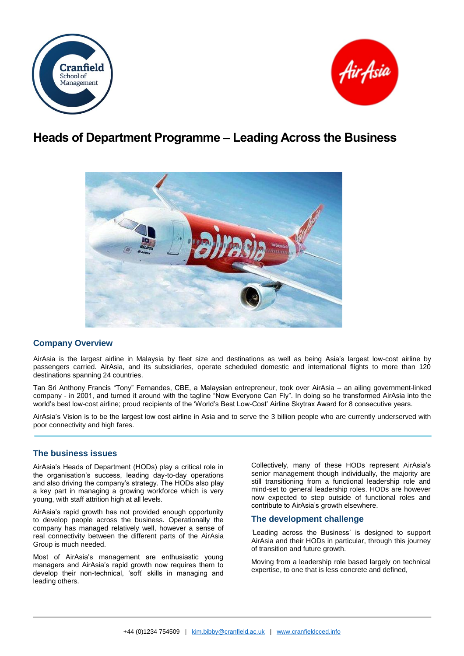



# **Heads of Department Programme – Leading Across the Business**



# **Company Overview**

AirAsia is the largest airline in Malaysia by fleet size and destinations as well as being Asia's largest low-cost airline by passengers carried. AirAsia, and its subsidiaries, operate scheduled domestic and international flights to more than 120 destinations spanning 24 countries.

Tan Sri Anthony Francis "Tony" Fernandes, CBE, a Malaysian entrepreneur, took over AirAsia – an ailing government-linked company - in 2001, and turned it around with the tagline "Now Everyone Can Fly". In doing so he transformed AirAsia into the world's best low-cost airline; proud recipients of the 'World's Best Low-Cost' Airline Skytrax Award for 8 consecutive years.

AirAsia's Vision is to be the largest low cost airline in Asia and to serve the 3 billion people who are currently underserved with poor connectivity and high fares.

# **The business issues**

AirAsia's Heads of Department (HODs) play a critical role in the organisation's success, leading day-to-day operations and also driving the company's strategy. The HODs also play a key part in managing a growing workforce which is very young, with staff attrition high at all levels.

AirAsia's rapid growth has not provided enough opportunity to develop people across the business. Operationally the company has managed relatively well, however a sense of real connectivity between the different parts of the AirAsia Group is much needed.

Most of AirAsia's management are enthusiastic young managers and AirAsia's rapid growth now requires them to develop their non-technical, 'soft' skills in managing and leading others.

Collectively, many of these HODs represent AirAsia's senior management though individually, the majority are still transitioning from a functional leadership role and mind-set to general leadership roles. HODs are however now expected to step outside of functional roles and contribute to AirAsia's growth elsewhere.

## **The development challenge**

'Leading across the Business' is designed to support AirAsia and their HODs in particular, through this journey of transition and future growth.

Moving from a leadership role based largely on technical expertise, to one that is less concrete and defined,